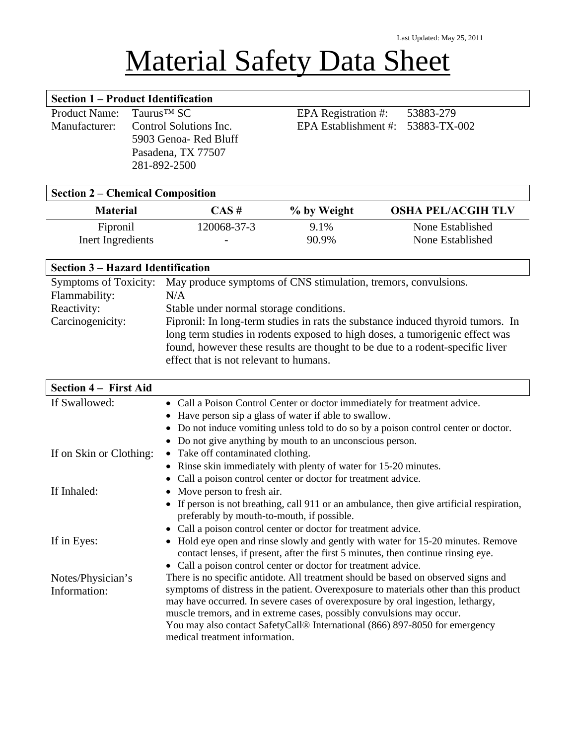# Material Safety Data Sheet

|                             | <b>Section 1 – Product Identification</b>                                                          |                                     |           |
|-----------------------------|----------------------------------------------------------------------------------------------------|-------------------------------------|-----------|
| Product Name: $TaurusTM SC$ |                                                                                                    | EPA Registration #:                 | 53883-279 |
|                             | Manufacturer: Control Solutions Inc.<br>5903 Genoa-Red Bluff<br>Pasadena, TX 77507<br>281-892-2500 | EPA Establishment #: $53883-TX-002$ |           |
|                             | Soction 1 Chamical Composition                                                                     |                                     |           |

#### **Section 2 – Chemical Composition**

| <b>Material</b>   | $CAS~\#$                 | % by Weight | <b>OSHA PEL/ACGIH TLV</b> |
|-------------------|--------------------------|-------------|---------------------------|
| Fipronil          | 120068-37-3              | 9.1%        | None Established          |
| Inert Ingredients | $\overline{\phantom{0}}$ | 90.9%       | None Established          |

# **Section 3 – Hazard Identification**

| Symptoms of Toxicity: | May produce symptoms of CNS stimulation, tremors, convulsions.                  |
|-----------------------|---------------------------------------------------------------------------------|
| Flammability:         | N/A                                                                             |
| Reactivity:           | Stable under normal storage conditions.                                         |
| Carcinogenicity:      | Fipronil: In long-term studies in rats the substance induced thyroid tumors. In |
|                       | long term studies in rodents exposed to high doses, a tumorigenic effect was    |
|                       | found, however these results are thought to be due to a rodent-specific liver   |
|                       | effect that is not relevant to humans.                                          |

| • Call a Poison Control Center or doctor immediately for treatment advice.                                                                                                                                                                         |
|----------------------------------------------------------------------------------------------------------------------------------------------------------------------------------------------------------------------------------------------------|
| Have person sip a glass of water if able to swallow.                                                                                                                                                                                               |
| • Do not induce vomiting unless told to do so by a poison control center or doctor.                                                                                                                                                                |
| Do not give anything by mouth to an unconscious person.                                                                                                                                                                                            |
| • Take off contaminated clothing.                                                                                                                                                                                                                  |
| • Rinse skin immediately with plenty of water for 15-20 minutes.                                                                                                                                                                                   |
| Call a poison control center or doctor for treatment advice.                                                                                                                                                                                       |
| • Move person to fresh air.                                                                                                                                                                                                                        |
| • If person is not breathing, call 911 or an ambulance, then give artificial respiration,<br>preferably by mouth-to-mouth, if possible.                                                                                                            |
| • Call a poison control center or doctor for treatment advice.                                                                                                                                                                                     |
| Hold eye open and rinse slowly and gently with water for 15-20 minutes. Remove<br>contact lenses, if present, after the first 5 minutes, then continue rinsing eye.<br>• Call a poison control center or doctor for treatment advice.              |
| There is no specific antidote. All treatment should be based on observed signs and                                                                                                                                                                 |
| symptoms of distress in the patient. Overexposure to materials other than this product<br>may have occurred. In severe cases of overexposure by oral ingestion, lethargy,<br>muscle tremors, and in extreme cases, possibly convulsions may occur. |
| You may also contact SafetyCall® International (866) 897-8050 for emergency<br>medical treatment information.                                                                                                                                      |
|                                                                                                                                                                                                                                                    |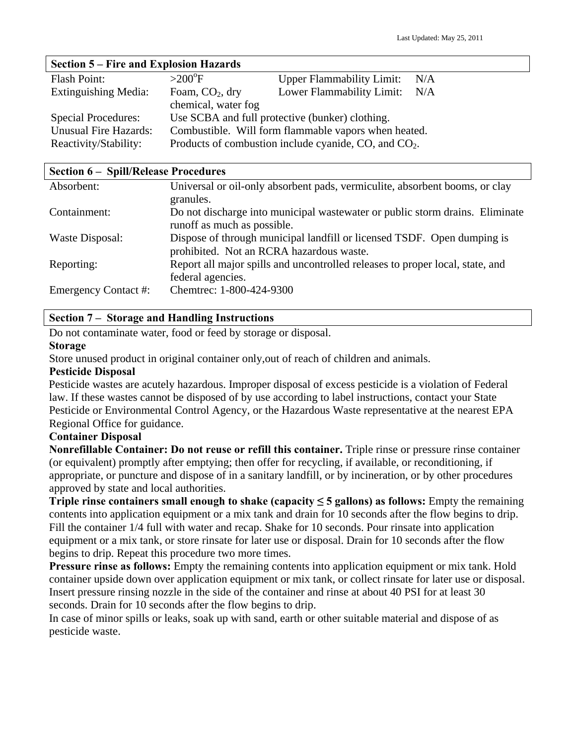| Section 5 – Fire and Explosion Hazards |                                                      |                                                            |     |
|----------------------------------------|------------------------------------------------------|------------------------------------------------------------|-----|
| <b>Flash Point:</b>                    | $>200^{\circ}$ F                                     | <b>Upper Flammability Limit:</b>                           | N/A |
| Extinguishing Media:                   | Foam, $CO2$ , dry                                    | Lower Flammability Limit:                                  | N/A |
|                                        | chemical, water fog                                  |                                                            |     |
| <b>Special Procedures:</b>             |                                                      | Use SCBA and full protective (bunker) clothing.            |     |
| <b>Unusual Fire Hazards:</b>           | Combustible. Will form flammable vapors when heated. |                                                            |     |
| Reactivity/Stability:                  |                                                      | Products of combustion include cyanide, $CO$ , and $CO2$ . |     |

| <b>Section 6 – Spill/Release Procedures</b> |                                                                                                                     |  |
|---------------------------------------------|---------------------------------------------------------------------------------------------------------------------|--|
| Absorbent:                                  | Universal or oil-only absorbent pads, vermiculite, absorbent booms, or clay<br>granules.                            |  |
| Containment:                                | Do not discharge into municipal was tewater or public storm drains. Eliminate<br>runoff as much as possible.        |  |
| Waste Disposal:                             | Dispose of through municipal landfill or licensed TSDF. Open dumping is<br>prohibited. Not an RCRA hazardous waste. |  |
| Reporting:                                  | Report all major spills and uncontrolled releases to proper local, state, and<br>federal agencies.                  |  |
| Emergency Contact #:                        | Chemtrec: 1-800-424-9300                                                                                            |  |

## **Section 7 – Storage and Handling Instructions**

Do not contaminate water, food or feed by storage or disposal.

#### **Storage**

Store unused product in original container only,out of reach of children and animals.

#### **Pesticide Disposal**

Pesticide wastes are acutely hazardous. Improper disposal of excess pesticide is a violation of Federal law. If these wastes cannot be disposed of by use according to label instructions, contact your State Pesticide or Environmental Control Agency, or the Hazardous Waste representative at the nearest EPA Regional Office for guidance.

#### **Container Disposal**

**Nonrefillable Container: Do not reuse or refill this container.** Triple rinse or pressure rinse container (or equivalent) promptly after emptying; then offer for recycling, if available, or reconditioning, if appropriate, or puncture and dispose of in a sanitary landfill, or by incineration, or by other procedures approved by state and local authorities.

**Triple rinse containers small enough to shake (capacity**  $\leq$  **5 gallons) as follows: Empty the remaining** contents into application equipment or a mix tank and drain for 10 seconds after the flow begins to drip. Fill the container 1/4 full with water and recap. Shake for 10 seconds. Pour rinsate into application equipment or a mix tank, or store rinsate for later use or disposal. Drain for 10 seconds after the flow begins to drip. Repeat this procedure two more times.

**Pressure rinse as follows:** Empty the remaining contents into application equipment or mix tank. Hold container upside down over application equipment or mix tank, or collect rinsate for later use or disposal. Insert pressure rinsing nozzle in the side of the container and rinse at about 40 PSI for at least 30 seconds. Drain for 10 seconds after the flow begins to drip.

In case of minor spills or leaks, soak up with sand, earth or other suitable material and dispose of as pesticide waste.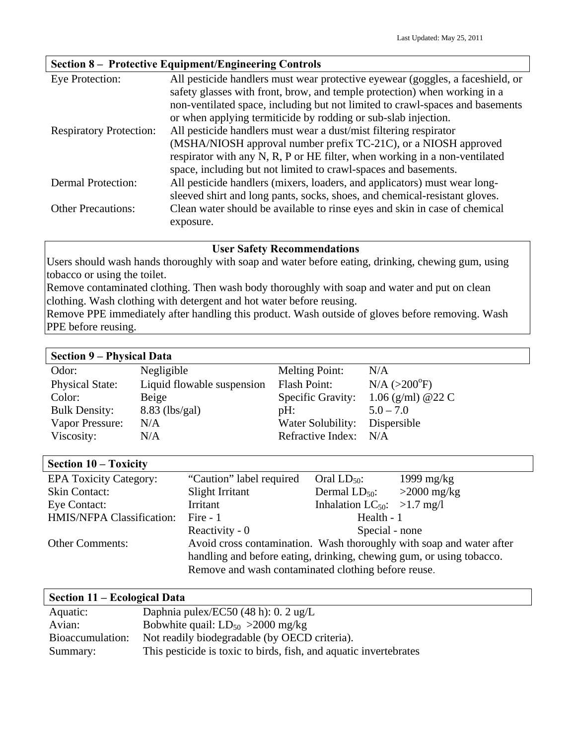# **Section 8 – Protective Equipment/Engineering Controls**

| Eye Protection:                | All pesticide handlers must wear protective eyewear (goggles, a faceshield, or |
|--------------------------------|--------------------------------------------------------------------------------|
|                                | safety glasses with front, brow, and temple protection) when working in a      |
|                                | non-ventilated space, including but not limited to crawl-spaces and basements  |
|                                | or when applying termiticide by rodding or sub-slab injection.                 |
| <b>Respiratory Protection:</b> | All pesticide handlers must wear a dust/mist filtering respirator              |
|                                | (MSHA/NIOSH approval number prefix TC-21C), or a NIOSH approved                |
|                                | respirator with any N, R, P or HE filter, when working in a non-ventilated     |
|                                | space, including but not limited to crawl-spaces and basements.                |
| <b>Dermal Protection:</b>      | All pesticide handlers (mixers, loaders, and applicators) must wear long-      |
|                                | sleeved shirt and long pants, socks, shoes, and chemical-resistant gloves.     |
| <b>Other Precautions:</b>      | Clean water should be available to rinse eyes and skin in case of chemical     |
|                                | exposure.                                                                      |

#### **User Safety Recommendations**

Users should wash hands thoroughly with soap and water before eating, drinking, chewing gum, using tobacco or using the toilet.

Remove contaminated clothing. Then wash body thoroughly with soap and water and put on clean clothing. Wash clothing with detergent and hot water before reusing.

Remove PPE immediately after handling this product. Wash outside of gloves before removing. Wash PPE before reusing.

### **Section 9 – Physical Data**

| $\mathcal{L}$              |                       |                           |
|----------------------------|-----------------------|---------------------------|
| Negligible                 | <b>Melting Point:</b> | N/A                       |
| Liquid flowable suspension | Flash Point:          | $N/A$ ( $>200^{\circ}F$ ) |
| Beige                      | Specific Gravity:     | 1.06 (g/ml) @22 C         |
| $8.83$ (lbs/gal)           | $pH$ :                | $5.0 - 7.0$               |
| N/A                        | Water Solubility:     | Dispersible               |
| $\rm N/A$                  | Refractive Index: N/A |                           |
|                            |                       |                           |

| Section 10 - Toxicity         |                                                                      |                                         |               |
|-------------------------------|----------------------------------------------------------------------|-----------------------------------------|---------------|
| <b>EPA Toxicity Category:</b> | "Caution" label required                                             | Oral $LD_{50}$ :                        | 1999 $mg/kg$  |
| <b>Skin Contact:</b>          | Slight Irritant                                                      | Dermal $LD_{50}$ :                      | $>2000$ mg/kg |
| Eye Contact:                  | Irritant                                                             | Inhalation LC <sub>50</sub> : >1.7 mg/l |               |
| HMIS/NFPA Classification:     | Fire $-1$                                                            | Health - 1                              |               |
|                               | Reactivity - 0                                                       | Special - none                          |               |
| <b>Other Comments:</b>        | Avoid cross contamination. Wash thoroughly with soap and water after |                                         |               |
|                               | handling and before eating, drinking, chewing gum, or using tobacco. |                                         |               |
|                               | Remove and wash contaminated clothing before reuse.                  |                                         |               |

| Section 11 – Ecological Data |                                                                   |  |
|------------------------------|-------------------------------------------------------------------|--|
| Aquatic:                     | Daphnia pulex/EC50 (48 h): 0. 2 ug/L                              |  |
| Avian:                       | Bobwhite quail: $LD_{50} > 2000$ mg/kg                            |  |
| Bioaccumulation:             | Not readily biodegradable (by OECD criteria).                     |  |
| Summary:                     | This pesticide is toxic to birds, fish, and aquatic invertebrates |  |